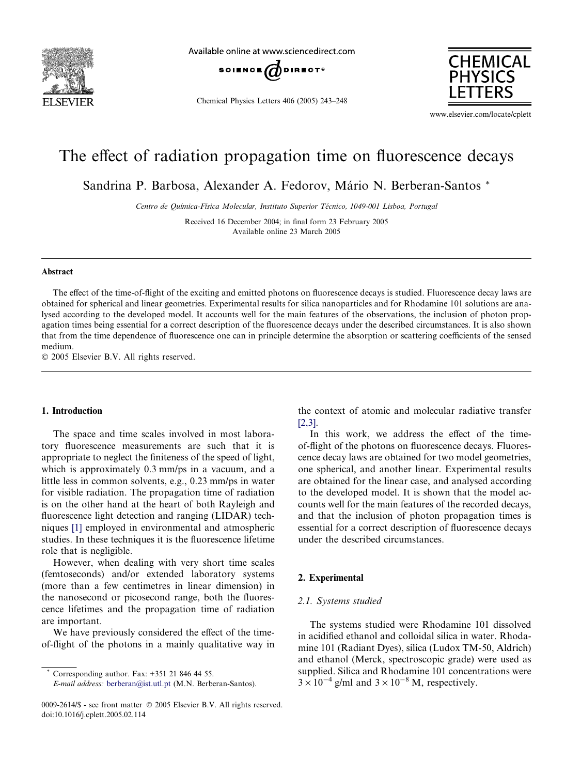

Available online at www.sciencedirect.com



Chemical Physics Letters 406 (2005) 243–248



www.elsevier.com/locate/cplett

# The effect of radiation propagation time on fluorescence decays

Sandrina P. Barbosa, Alexander A. Fedorov, Mário N. Berberan-Santos \*

Centro de Química-Física Molecular, Instituto Superior Técnico, 1049-001 Lisboa, Portugal

Received 16 December 2004; in final form 23 February 2005 Available online 23 March 2005

#### Abstract

The effect of the time-of-flight of the exciting and emitted photons on fluorescence decays is studied. Fluorescence decay laws are obtained for spherical and linear geometries. Experimental results for silica nanoparticles and for Rhodamine 101 solutions are analysed according to the developed model. It accounts well for the main features of the observations, the inclusion of photon propagation times being essential for a correct description of the fluorescence decays under the described circumstances. It is also shown that from the time dependence of fluorescence one can in principle determine the absorption or scattering coefficients of the sensed medium.

2005 Elsevier B.V. All rights reserved.

# 1. Introduction

The space and time scales involved in most laboratory fluorescence measurements are such that it is appropriate to neglect the finiteness of the speed of light, which is approximately 0.3 mm/ps in a vacuum, and a little less in common solvents, e.g., 0.23 mm/ps in water for visible radiation. The propagation time of radiation is on the other hand at the heart of both Rayleigh and fluorescence light detection and ranging (LIDAR) techniques [\[1\]](#page-5-0) employed in environmental and atmospheric studies. In these techniques it is the fluorescence lifetime role that is negligible.

However, when dealing with very short time scales (femtoseconds) and/or extended laboratory systems (more than a few centimetres in linear dimension) in the nanosecond or picosecond range, both the fluorescence lifetimes and the propagation time of radiation are important.

We have previously considered the effect of the timeof-flight of the photons in a mainly qualitative way in

Corresponding author. Fax: +351 21 846 44 55.

the context of atomic and molecular radiative transfer [\[2,3\].](#page-5-0)

In this work, we address the effect of the timeof-flight of the photons on fluorescence decays. Fluorescence decay laws are obtained for two model geometries, one spherical, and another linear. Experimental results are obtained for the linear case, and analysed according to the developed model. It is shown that the model accounts well for the main features of the recorded decays, and that the inclusion of photon propagation times is essential for a correct description of fluorescence decays under the described circumstances.

# 2. Experimental

#### 2.1. Systems studied

The systems studied were Rhodamine 101 dissolved in acidified ethanol and colloidal silica in water. Rhodamine 101 (Radiant Dyes), silica (Ludox TM-50, Aldrich) and ethanol (Merck, spectroscopic grade) were used as supplied. Silica and Rhodamine 101 concentrations were  $3 \times 10^{-4}$  g/ml and  $3 \times 10^{-8}$  M, respectively.

E-mail address: [berberan@ist.utl.pt](mailto:berberan@ist.utl.pt) (M.N. Berberan-Santos).

<sup>0009-2614/\$ -</sup> see front matter © 2005 Elsevier B.V. All rights reserved. doi:10.1016/j.cplett.2005.02.114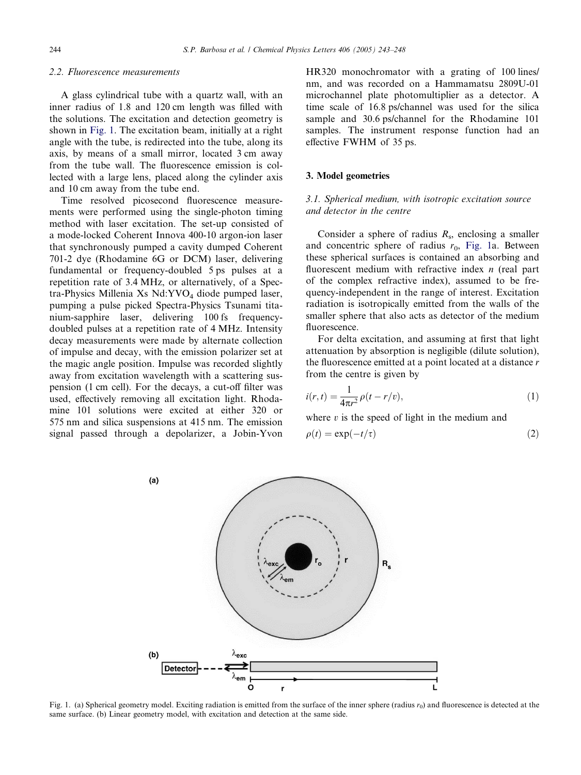## <span id="page-1-0"></span>2.2. Fluorescence measurements

A glass cylindrical tube with a quartz wall, with an inner radius of 1.8 and 120 cm length was filled with the solutions. The excitation and detection geometry is shown in Fig. 1. The excitation beam, initially at a right angle with the tube, is redirected into the tube, along its axis, by means of a small mirror, located 3 cm away from the tube wall. The fluorescence emission is collected with a large lens, placed along the cylinder axis and 10 cm away from the tube end.

Time resolved picosecond fluorescence measurements were performed using the single-photon timing method with laser excitation. The set-up consisted of a mode-locked Coherent Innova 400-10 argon-ion laser that synchronously pumped a cavity dumped Coherent 701-2 dye (Rhodamine 6G or DCM) laser, delivering fundamental or frequency-doubled 5 ps pulses at a repetition rate of 3.4 MHz, or alternatively, of a Spectra-Physics Millenia Xs  $Nd:YVO<sub>4</sub> diode pumped laser$ , pumping a pulse picked Spectra-Physics Tsunami titanium-sapphire laser, delivering 100 fs frequencydoubled pulses at a repetition rate of 4 MHz. Intensity decay measurements were made by alternate collection of impulse and decay, with the emission polarizer set at the magic angle position. Impulse was recorded slightly away from excitation wavelength with a scattering suspension (1 cm cell). For the decays, a cut-off filter was used, effectively removing all excitation light. Rhodamine 101 solutions were excited at either 320 or 575 nm and silica suspensions at 415 nm. The emission signal passed through a depolarizer, a Jobin-Yvon HR320 monochromator with a grating of 100 lines/ nm, and was recorded on a Hammamatsu 2809U-01 microchannel plate photomultiplier as a detector. A time scale of 16.8 ps/channel was used for the silica sample and 30.6 ps/channel for the Rhodamine 101 samples. The instrument response function had an effective FWHM of 35 ps.

# 3. Model geometries

# 3.1. Spherical medium, with isotropic excitation source and detector in the centre

Consider a sphere of radius  $R_s$ , enclosing a smaller and concentric sphere of radius  $r_0$ , Fig. 1a. Between these spherical surfaces is contained an absorbing and fluorescent medium with refractive index *n* (real part of the complex refractive index), assumed to be frequency-independent in the range of interest. Excitation radiation is isotropically emitted from the walls of the smaller sphere that also acts as detector of the medium fluorescence.

For delta excitation, and assuming at first that light attenuation by absorption is negligible (dilute solution), the fluorescence emitted at a point located at a distance r from the centre is given by

$$
i(r,t) = \frac{1}{4\pi r^2} \rho(t - r/v),
$$
\n(1)

where  $v$  is the speed of light in the medium and

$$
\rho(t) = \exp(-t/\tau) \tag{2}
$$



Fig. 1. (a) Spherical geometry model. Exciting radiation is emitted from the surface of the inner sphere (radius  $r_0$ ) and fluorescence is detected at the same surface. (b) Linear geometry model, with excitation and detection at the same side.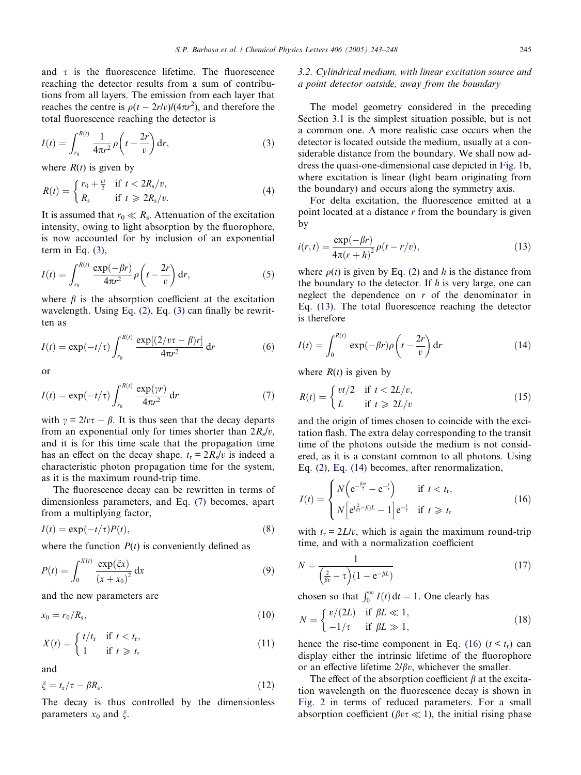<span id="page-2-0"></span>and  $\tau$  is the fluorescence lifetime. The fluorescence reaching the detector results from a sum of contributions from all layers. The emission from each layer that reaches the centre is  $\rho(t - 2r/v)/(4\pi r^2)$ , and therefore the total fluorescence reaching the detector is

$$
I(t) = \int_{r_0}^{R(t)} \frac{1}{4\pi r^2} \rho \left( t - \frac{2r}{v} \right) dr,
$$
 (3)

where  $R(t)$  is given by

$$
R(t) = \begin{cases} r_0 + \frac{vt}{2} & \text{if } t < 2R_s/v, \\ R_s & \text{if } t \ge 2R_s/v. \end{cases}
$$
(4)

It is assumed that  $r_0 \ll R_s$ . Attenuation of the excitation intensity, owing to light absorption by the fluorophore, is now accounted for by inclusion of an exponential term in Eq.  $(3)$ ,

$$
I(t) = \int_{r_0}^{R(t)} \frac{\exp(-\beta r)}{4\pi r^2} \rho\left(t - \frac{2r}{v}\right) dr,\tag{5}
$$

where  $\beta$  is the absorption coefficient at the excitation wavelength. Using Eq. [\(2\)](#page-1-0), Eq. (3) can finally be rewritten as

$$
I(t) = \exp(-t/\tau) \int_{r_0}^{R(t)} \frac{\exp[(2/v\tau - \beta)r]}{4\pi r^2} dr
$$
 (6)

or

$$
I(t) = \exp(-t/\tau) \int_{r_0}^{R(t)} \frac{\exp(\gamma r)}{4\pi r^2} dr \tag{7}
$$

with  $\gamma = 2/v\tau - \beta$ . It is thus seen that the decay departs from an exponential only for times shorter than  $2R_s/v$ , and it is for this time scale that the propagation time has an effect on the decay shape.  $t_r = 2R_s/v$  is indeed a characteristic photon propagation time for the system, as it is the maximum round-trip time.

The fluorescence decay can be rewritten in terms of dimensionless parameters, and Eq. (7) becomes, apart from a multiplying factor,

$$
I(t) = \exp(-t/\tau)P(t),\tag{8}
$$

where the function  $P(t)$  is conveniently defined as

$$
P(t) = \int_0^{X(t)} \frac{\exp(\xi x)}{(x + x_0)^2} dx
$$
 (9)

and the new parameters are

$$
x_0 = r_0/R_s,\tag{10}
$$

$$
X(t) = \begin{cases} t/t_{\rm r} & \text{if } t < t_{\rm r}, \\ 1 & \text{if } t \geqslant t_{\rm r} \end{cases} \tag{11}
$$

and

$$
\xi = t_{\rm r}/\tau - \beta R_{\rm s}.\tag{12}
$$

The decay is thus controlled by the dimensionless parameters  $x_0$  and  $\xi$ .

# 3.2. Cylindrical medium, with linear excitation source and a point detector outside, away from the boundary

The model geometry considered in the preceding Section 3.1 is the simplest situation possible, but is not a common one. A more realistic case occurs when the detector is located outside the medium, usually at a considerable distance from the boundary. We shall now address the quasi-one-dimensional case depicted in [Fig. 1](#page-1-0)b, where excitation is linear (light beam originating from the boundary) and occurs along the symmetry axis.

For delta excitation, the fluorescence emitted at a point located at a distance  $r$  from the boundary is given by

$$
i(r,t) = \frac{\exp(-\beta r)}{4\pi(r+h)^2} \rho(t-r/v),\tag{13}
$$

where  $\rho(t)$  is given by Eq. [\(2\)](#page-1-0) and h is the distance from the boundary to the detector. If  $h$  is very large, one can neglect the dependence on  $r$  of the denominator in Eq. (13). The total fluorescence reaching the detector is therefore

$$
I(t) = \int_0^{R(t)} \exp(-\beta r) \rho \left( t - \frac{2r}{v} \right) dr \tag{14}
$$

where  $R(t)$  is given by

$$
R(t) = \begin{cases} vt/2 & \text{if } t < 2L/v, \\ L & \text{if } t \geq 2L/v \end{cases}
$$
 (15)

and the origin of times chosen to coincide with the excitation flash. The extra delay corresponding to the transit time of the photons outside the medium is not considered, as it is a constant common to all photons. Using Eq. [\(2\), Eq. \(14\)](#page-1-0) becomes, after renormalization,

$$
I(t) = \begin{cases} N\left(e^{-\frac{\beta rt}{2}} - e^{-\frac{t}{t}}\right) & \text{if } t < t_{\rm r}, \\ N\left[e^{(\frac{2}{\nu\tau}-\beta)L} - 1\right]e^{-\frac{t}{\tau}} & \text{if } t \geq t_{\rm r} \end{cases}
$$
(16)

with  $t_r = 2L/v$ , which is again the maximum round-trip time, and with a normalization coefficient

$$
N = \frac{1}{\left(\frac{2}{\beta v} - \tau\right)(1 - e^{-\beta L})}
$$
\n(17)

chosen so that  $\int_0^\infty I(t) dt = 1$ . One clearly has

$$
N = \begin{cases} v/(2L) & \text{if } \beta L \ll 1, \\ -1/\tau & \text{if } \beta L \gg 1, \end{cases}
$$
 (18)

hence the rise-time component in Eq. (16)  $(t < t_r)$  can display either the intrinsic lifetime of the fluorophore or an effective lifetime  $2/\beta v$ , whichever the smaller.

The effect of the absorption coefficient  $\beta$  at the excitation wavelength on the fluorescence decay is shown in [Fig. 2](#page-3-0) in terms of reduced parameters. For a small absorption coefficient ( $\beta v \tau \ll 1$ ), the initial rising phase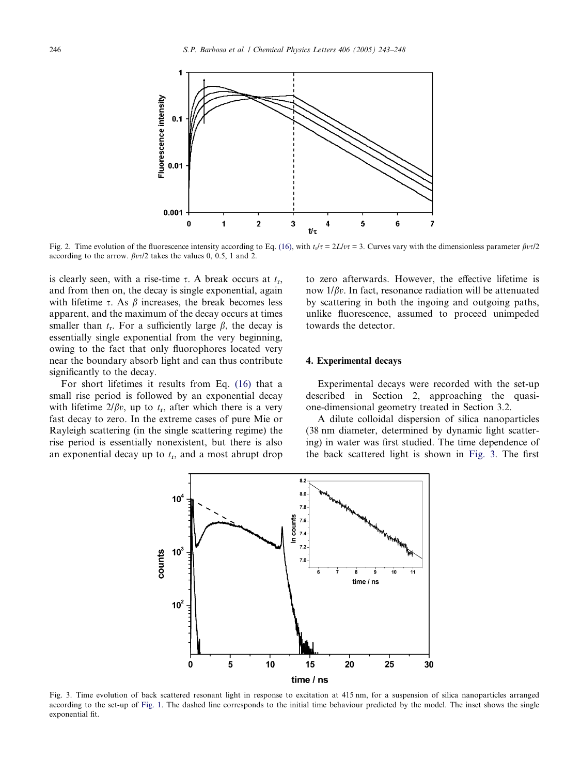<span id="page-3-0"></span>

Fig. 2. Time evolution of the fluorescence intensity according to Eq. [\(16\),](#page-2-0) with  $t_1/\tau = 2L/v\tau = 3$ . Curves vary with the dimensionless parameter  $\beta v\tau/2$ according to the arrow.  $\beta v\tau/2$  takes the values 0, 0.5, 1 and 2.

is clearly seen, with a rise-time  $\tau$ . A break occurs at  $t_r$ , and from then on, the decay is single exponential, again with lifetime  $\tau$ . As  $\beta$  increases, the break becomes less apparent, and the maximum of the decay occurs at times smaller than  $t_r$ . For a sufficiently large  $\beta$ , the decay is essentially single exponential from the very beginning, owing to the fact that only fluorophores located very near the boundary absorb light and can thus contribute significantly to the decay.

For short lifetimes it results from Eq. [\(16\)](#page-2-0) that a small rise period is followed by an exponential decay with lifetime  $2/\beta v$ , up to  $t_r$ , after which there is a very fast decay to zero. In the extreme cases of pure Mie or Rayleigh scattering (in the single scattering regime) the rise period is essentially nonexistent, but there is also an exponential decay up to  $t_r$ , and a most abrupt drop to zero afterwards. However, the effective lifetime is now  $1/\beta v$ . In fact, resonance radiation will be attenuated by scattering in both the ingoing and outgoing paths, unlike fluorescence, assumed to proceed unimpeded towards the detector.

## 4. Experimental decays

Experimental decays were recorded with the set-up described in Section 2, approaching the quasione-dimensional geometry treated in Section 3.2.

A dilute colloidal dispersion of silica nanoparticles (38 nm diameter, determined by dynamic light scattering) in water was first studied. The time dependence of the back scattered light is shown in Fig. 3. The first



Fig. 3. Time evolution of back scattered resonant light in response to excitation at 415 nm, for a suspension of silica nanoparticles arranged according to the set-up of [Fig. 1](#page-1-0). The dashed line corresponds to the initial time behaviour predicted by the model. The inset shows the single exponential fit.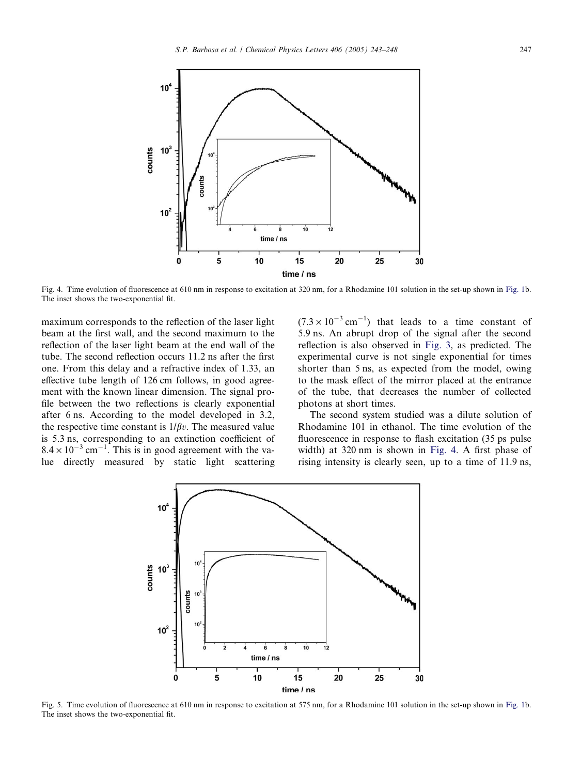<span id="page-4-0"></span>

Fig. 4. Time evolution of fluorescence at 610 nm in response to excitation at 320 nm, for a Rhodamine 101 solution in the set-up shown in [Fig. 1](#page-1-0)b. The inset shows the two-exponential fit.

maximum corresponds to the reflection of the laser light beam at the first wall, and the second maximum to the reflection of the laser light beam at the end wall of the tube. The second reflection occurs 11.2 ns after the first one. From this delay and a refractive index of 1.33, an effective tube length of 126 cm follows, in good agreement with the known linear dimension. The signal profile between the two reflections is clearly exponential after 6 ns. According to the model developed in 3.2, the respective time constant is  $1/\beta v$ . The measured value is 5.3 ns, corresponding to an extinction coefficient of  $8.4 \times 10^{-3}$  cm<sup>-1</sup>. This is in good agreement with the value directly measured by static light scattering

 $(7.3 \times 10^{-3} \text{ cm}^{-1})$  that leads to a time constant of 5.9 ns. An abrupt drop of the signal after the second reflection is also observed in [Fig. 3,](#page-3-0) as predicted. The experimental curve is not single exponential for times shorter than 5 ns, as expected from the model, owing to the mask effect of the mirror placed at the entrance of the tube, that decreases the number of collected photons at short times.

The second system studied was a dilute solution of Rhodamine 101 in ethanol. The time evolution of the fluorescence in response to flash excitation (35 ps pulse width) at 320 nm is shown in Fig. 4. A first phase of rising intensity is clearly seen, up to a time of 11.9 ns,



Fig. 5. Time evolution of fluorescence at 610 nm in response to excitation at 575 nm, for a Rhodamine 101 solution in the set-up shown in [Fig. 1](#page-1-0)b. The inset shows the two-exponential fit.